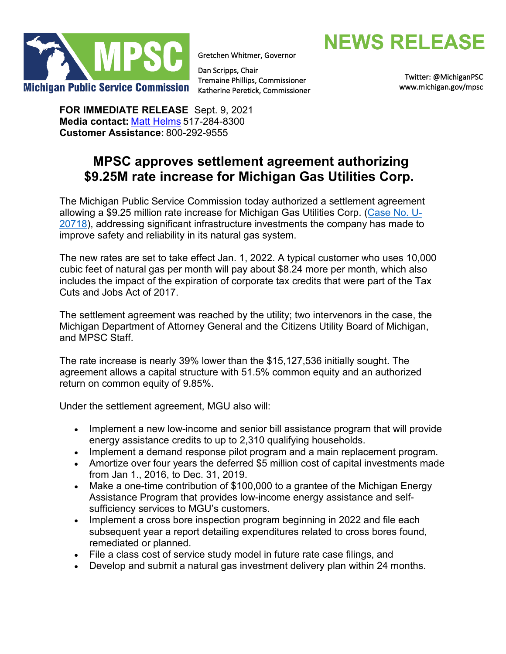

Gretchen Whitmer, Governor

Dan Scripps, Chair Tremaine Phillips, Commissioner Katherine Peretick, Commissioner **NEWS RELEASE** 

[Twitter: @MichiganPSC](https://twitter.com/MichiganPSC)  [www.michigan.gov/mpsc](http://www.michigan.gov/mpsc) 

**FOR IMMEDIATE RELEASE** Sept. 9, 2021 **Media contact:** [Matt Helms](mailto:helmsm@michigan.gov) 517-284-8300  **Customer Assistance:** 800-292-9555 

# **MPSC approves settlement agreement authorizing \$9.25M rate increase for Michigan Gas Utilities Corp.**

The Michigan Public Service Commission today authorized a settlement agreement allowing a \$9.25 million rate increase for Michigan Gas Utilities Corp. [\(Case No. U-](https://mi-psc.force.com/s/case/500t000000Rfx7ZAAR/in-the-matter-of-the-application-of-michigan-gas-utilities-corporation-for-authority-to-increase-natural-gas-rates-and-for-other-relief)[20718](https://mi-psc.force.com/s/case/500t000000Rfx7ZAAR/in-the-matter-of-the-application-of-michigan-gas-utilities-corporation-for-authority-to-increase-natural-gas-rates-and-for-other-relief)), addressing significant infrastructure investments the company has made to improve safety and reliability in its natural gas system.

The new rates are set to take effect Jan. 1, 2022. A typical customer who uses 10,000 cubic feet of natural gas per month will pay about \$8.24 more per month, which also includes the impact of the expiration of corporate tax credits that were part of the Tax Cuts and Jobs Act of 2017.

The settlement agreement was reached by the utility; two intervenors in the case, the Michigan Department of Attorney General and the Citizens Utility Board of Michigan, and MPSC Staff.

The rate increase is nearly 39% lower than the \$15,127,536 initially sought. The agreement allows a capital structure with 51.5% common equity and an authorized return on common equity of 9.85%.

Under the settlement agreement, MGU also will:

- Implement a new low-income and senior bill assistance program that will provide energy assistance credits to up to 2,310 qualifying households.
- Implement a demand response pilot program and a main replacement program.
- Amortize over four years the deferred \$5 million cost of capital investments made from Jan 1., 2016, to Dec. 31, 2019.
- Make a one-time contribution of \$100,000 to a grantee of the Michigan Energy Assistance Program that provides low-income energy assistance and selfsufficiency services to MGU's customers.
- Implement a cross bore inspection program beginning in 2022 and file each subsequent year a report detailing expenditures related to cross bores found, remediated or planned.
- File a class cost of service study model in future rate case filings, and
- Develop and submit a natural gas investment delivery plan within 24 months.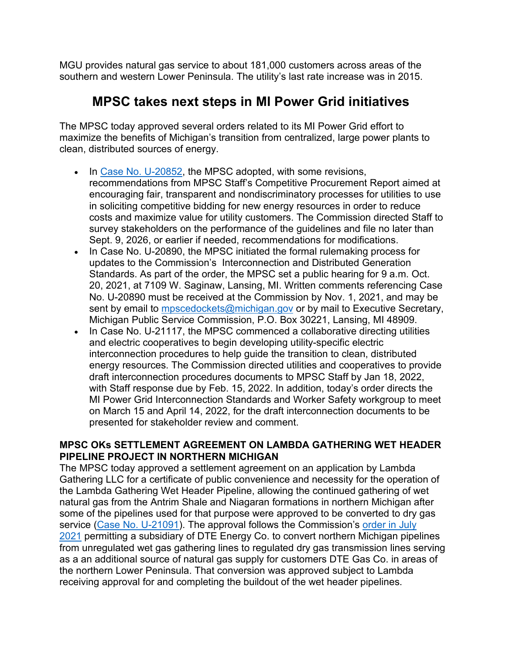MGU provides natural gas service to about 181,000 customers across areas of the southern and western Lower Peninsula. The utility's last rate increase was in 2015.

## **MPSC takes next steps in MI Power Grid initiatives**

The MPSC today approved several orders related to its MI Power Grid effort to maximize the benefits of Michigan's transition from centralized, large power plants to clean, distributed sources of energy.

- In [Case No. U-](https://mi-psc.force.com/s/case/500t000000XXo57AAD/in-the-matter-on-the-commissions-own-motion-to-commence-a-collaborative-to-consider-best-practices-to-ensure-costeffective-development-of-new-energy-resources-and-to-limit-procurement-barriers-for-emerging-technologies-including-processes-for-competi)20852, the MPSC adopted, with some revisions, recommendations from MPSC Staff's Competitive Procurement Report aimed at encouraging fair, transparent and nondiscriminatory processes for utilities to use in soliciting competitive bidding for new energy resources in order to reduce costs and maximize value for utility customers. The Commission directed Staff to survey stakeholders on the performance of the guidelines and file no later than Sept. 9, 2026, or earlier if needed, recommendations for modifications.
- In Case No. U-20890, the MPSC initiated the formal rulemaking process for updates to the Commission's Interconnection and Distributed Generation Standards. As part of the order, the MPSC set a public hearing for 9 a.m. Oct. 20, 2021, at 7109 W. Saginaw, Lansing, MI. Written comments referencing Case No. U-20890 must be received at the Commission by Nov. 1, 2021, and may be sent by email to [mpscedockets@michigan.gov](mailto:mpscedockets@michigan.gov) or by mail to Executive Secretary, Michigan Public Service Commission, P.O. Box 30221, Lansing, MI 48909.
- In Case No. U-21117, the MPSC commenced a collaborative directing utilities and electric cooperatives to begin developing utility-specific electric interconnection procedures to help guide the transition to clean, distributed energy resources. The Commission directed utilities and cooperatives to provide draft interconnection procedures documents to MPSC Staff by Jan 18, 2022, with Staff response due by Feb. 15, 2022. In addition, today's order directs the MI Power Grid Interconnection Standards and Worker Safety workgroup to meet on March 15 and April 14, 2022, for the draft interconnection documents to be presented for stakeholder review and comment.

### **MPSC OKs SETTLEMENT AGREEMENT ON LAMBDA GATHERING WET HEADER PIPELINE PROJECT IN NORTHERN MICHIGAN**

The MPSC today approved a settlement agreement on an application by Lambda Gathering LLC for a certificate of public convenience and necessity for the operation of the Lambda Gathering Wet Header Pipeline, allowing the continued gathering of wet natural gas from the Antrim Shale and Niagaran formations in northern Michigan after some of the pipelines used for that purpose were approved to be converted to dry gas service [\(Case No. U-21091\)](https://mi-psc.force.com/s/case/500t000000mdQs6AAE/in-the-matter-of-the-application-of-lambda-gathering-llc-for-a-certificate-of-public-convenience-and-necessity-for-the-conversion-and-operation-of-the-lambda-gathering-wet-header-ranging-from-manistee-county-in-the-southeast-to-presque-isle-county-in-th). The approval follows the Commission's order [in July](https://www.michigan.gov/mpsc/0,9535,7-395-93253_93280-564643--,00.html)  [2021](https://www.michigan.gov/mpsc/0,9535,7-395-93253_93280-564643--,00.html) permitting a subsidiary of DTE Energy Co. to convert northern Michigan pipelines from unregulated wet gas gathering lines to regulated dry gas transmission lines serving as a an additional source of natural gas supply for customers DTE Gas Co. in areas of the northern Lower Peninsula. That conversion was approved subject to Lambda receiving approval for and completing the buildout of the wet header pipelines.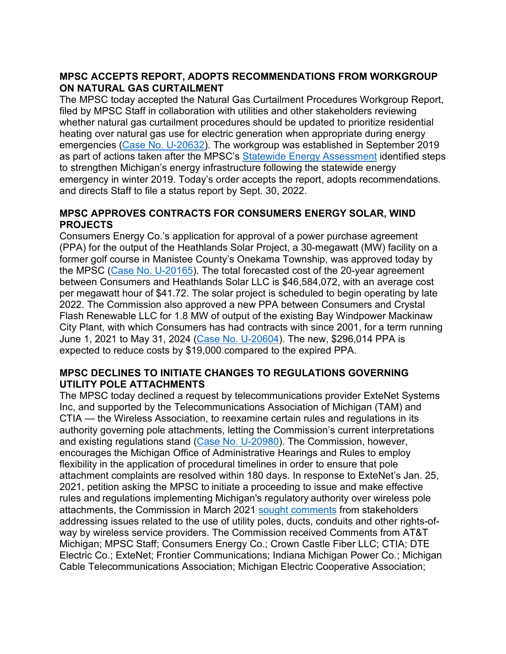## **MPSC ACCEPTS REPORT, ADOPTS RECOMMENDATIONS FROM WORKGROUP ON NATURAL GAS CURTAILMENT**

The MPSC today accepted the Natural Gas Curtailment Procedures Workgroup Report, filed by MPSC Staff in collaboration with utilities and other stakeholders reviewing whether natural gas curtailment procedures should be updated to prioritize residential heating over natural gas use for electric generation when appropriate during energy emergencies [\(Case No. U-](https://mi-psc.force.com/s/case/500t000000LvLx1AAF/in-the-matter-on-the-commissions-own-motion-to-commence-a-collaborative-to-consider-issues-related-to-utility-curtailment-procedures)20632). The workgroup was established in September 2019 as part of actions taken after the MPSC's [Statewide Energy Assessment](https://www.michigan.gov/mpsc/0,9535,7-395-93307_93312_93320_94834-488976--,00.html) identified steps to strengthen Michigan's energy infrastructure following the statewide energy emergency in winter 2019. Today's order accepts the report, adopts recommendations. and directs Staff to file a status report by Sept. 30, 2022.

### **MPSC APPROVES CONTRACTS FOR CONSUMERS ENERGY SOLAR, WIND PROJECTS**

Consumers Energy Co.'s application for approval of a power purchase agreement (PPA) for the output of the Heathlands Solar Project, a 30-megawatt (MW) facility on a former golf course in Manistee County's Onekama Township, was approved today by the MPSC [\(Case No. U-](https://mi-psc.force.com/s/case/500t0000009haqBAAQ/in-the-matter-of-the-application-of-consumers-energy-company-for-approval-of-its-integrated-resource-plan-pursuant-to-mcl-4606t-and-for-other-relief)20165). The total forecasted cost of the 20-year agreement between Consumers and Heathlands Solar LLC is \$46,584,072, with an average cost per megawatt hour of \$41.72. The solar project is scheduled to begin operating by late 2022. The Commission also approved a new PPA between Consumers and Crystal Flash Renewable LLC for 1.8 MW of output of the existing Bay Windpower Mackinaw City Plant, with which Consumers has had contracts with since 2001, for a term running June 1, 2021 to May 31, 2024 [\(Case No. U-](https://mi-psc.force.com/s/case/500t000000KvqZJAAZ/in-the-matter-of-the-application-of-consumers-energy-company-for-approval-of-power-purchase-agreements)20604). The new, \$296,014 PPA is expected to reduce costs by \$19,000 compared to the expired PPA.

## **MPSC DECLINES TO INITIATE CHANGES TO REGULATIONS GOVERNING UTILITY POLE ATTACHMENTS**

The MPSC today declined a request by telecommunications provider ExteNet Systems Inc, and supported by the Telecommunications Association of Michigan (TAM) and CTIA — the Wireless Association, to reexamine certain rules and regulations in its authority governing pole attachments, letting the Commission's current interpretations and existing regulations stand ([Case No. U-20980\)](https://mi-psc.force.com/s/case/500t000000f2N9fAAE/in-the-matter-of-the-petition-of-extenet-systems-inc-to-initiate-a-proceeding-for-the-commission-to-issue-and-make-effective-rules-and-regulations-implementing-michigans-regulatory-authority-over-wireless-pole-attachments). The Commission, however, encourages the Michigan Office of Administrative Hearings and Rules to employ flexibility in the application of procedural timelines in order to ensure that pole attachment complaints are resolved within 180 days. In response to ExteNet's Jan. 25, 2021, petition asking the MPSC to initiate a proceeding to issue and make effective rules and regulations implementing Michigan's regulatory authority over wireless pole attachments, the Commission in March 2021 [sought comments](https://www.michigan.gov/mpsc/0,9535,7-395-93307_93313_17280-559378--,00.html) from stakeholders addressing issues related to the use of utility poles, ducts, conduits and other rights-ofway by wireless service providers. The Commission received Comments from AT&T Michigan; MPSC Staff; Consumers Energy Co.; Crown Castle Fiber LLC; CTIA; DTE Electric Co.; ExteNet; Frontier Communications; Indiana Michigan Power Co.; Michigan Cable Telecommunications Association; Michigan Electric Cooperative Association;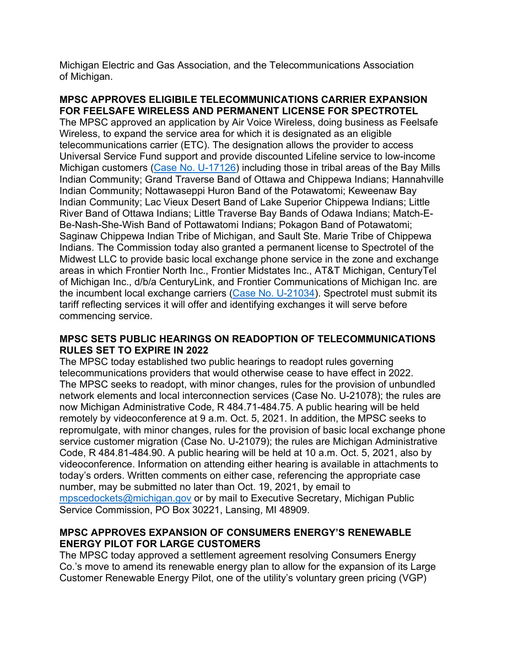Michigan Electric and Gas Association, and the Telecommunications Association of Michigan.

#### **MPSC APPROVES ELIGIBILE TELECOMMUNICATIONS CARRIER EXPANSION FOR FEELSAFE WIRELESS AND PERMANENT LICENSE FOR SPECTROTEL**

The MPSC approved an application by Air Voice Wireless, doing business as Feelsafe Wireless, to expand the service area for which it is designated as an eligible telecommunications carrier (ETC). The designation allows the provider to access Universal Service Fund support and provide discounted Lifeline service to low-income Michigan customers [\(Case No. U-](https://mi-psc.force.com/s/case/500t0000008efieAAA/in-the-matter-of-the-application-of-airvoice-wireless-llc-dba-feelsafe-wireless-for-designation-as-an-eligible-telecommunications-carrier-on-a-wireless-basis-lowincome-only)17126) including those in tribal areas of the Bay Mills Indian Community; Grand Traverse Band of Ottawa and Chippewa Indians; Hannahville Indian Community; Nottawaseppi Huron Band of the Potawatomi; Keweenaw Bay Indian Community; Lac Vieux Desert Band of Lake Superior Chippewa Indians; Little River Band of Ottawa Indians; Little Traverse Bay Bands of Odawa Indians; Match-E-Be-Nash-She-Wish Band of Pottawatomi Indians; Pokagon Band of Potawatomi; Saginaw Chippewa Indian Tribe of Michigan, and Sault Ste. Marie Tribe of Chippewa Indians. The Commission today also granted a permanent license to Spectrotel of the Midwest LLC to provide basic local exchange phone service in the zone and exchange areas in which Frontier North Inc., Frontier Midstates Inc., AT&T Michigan, CenturyTel of Michigan Inc., d/b/a CenturyLink, and Frontier Communications of Michigan Inc. are the incumbent local exchange carriers [\(Case No. U-21034\)](https://mi-psc.force.com/s/case/500t000000j0lj1AAA/in-the-matter-of-the-application-spectrotel-of-the-midwest-llc-for-a-temporary-and-permanent-license-to-provide-local-exchange-service-throughout-the-state-of-michigan-in-the-zones-and-exchanges-served-by-frontier-north-inc-frontier-midstates-inc-att). Spectrotel must submit its tariff reflecting services it will offer and identifying exchanges it will serve before commencing service.

#### **MPSC SETS PUBLIC HEARINGS ON READOPTION OF TELECOMMUNICATIONS RULES SET TO EXPIRE IN 2022**

The MPSC today established two public hearings to readopt rules governing telecommunications providers that would otherwise cease to have effect in 2022. The MPSC seeks to readopt, with minor changes, rules for the provision of unbundled network elements and local interconnection services (Case No. U-21078); the rules are now Michigan Administrative Code, R 484.71-484.75. A public hearing will be held remotely by videoconference at 9 a.m. Oct. 5, 2021. In addition, the MPSC seeks to repromulgate, with minor changes, rules for the provision of basic local exchange phone service customer migration (Case No. U-21079); the rules are Michigan Administrative Code, R 484.81-484.90. A public hearing will be held at 10 a.m. Oct. 5, 2021, also by videoconference. Information on attending either hearing is available in attachments to today's orders. Written comments on either case, referencing the appropriate case number, may be submitted no later than Oct. 19, 2021, by email to [mpscedockets@michigan.gov](mailto:mpscedockets@michigan.gov) or by mail to Executive Secretary, Michigan Public Service Commission, PO Box 30221, Lansing, MI 48909.

### **MPSC APPROVES EXPANSION OF CONSUMERS ENERGY'S RENEWABLE ENERGY PILOT FOR LARGE CUSTOMERS**

The MPSC today approved a settlement agreement resolving Consumers Energy Co.'s move to amend its renewable energy plan to allow for the expansion of its Large Customer Renewable Energy Pilot, one of the utility's voluntary green pricing (VGP)